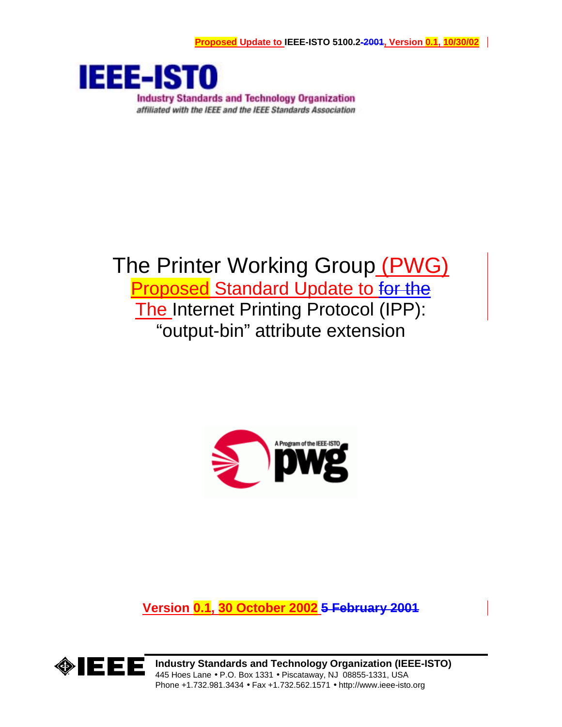

# The Printer Working Group (PWG) **Proposed Standard Update to for the** The Internet Printing Protocol (IPP): "output-bin" attribute extension



**Version 0.1, 30 October 2002 5 February 2001**



**Industry Standards and Technology Organization (IEEE-ISTO)**  445 Hoes Lane • P.O. Box 1331 • Piscataway, NJ 08855-1331, USA Phone +1.732.981.3434 • Fax +1.732.562.1571 • http://www.ieee-isto.org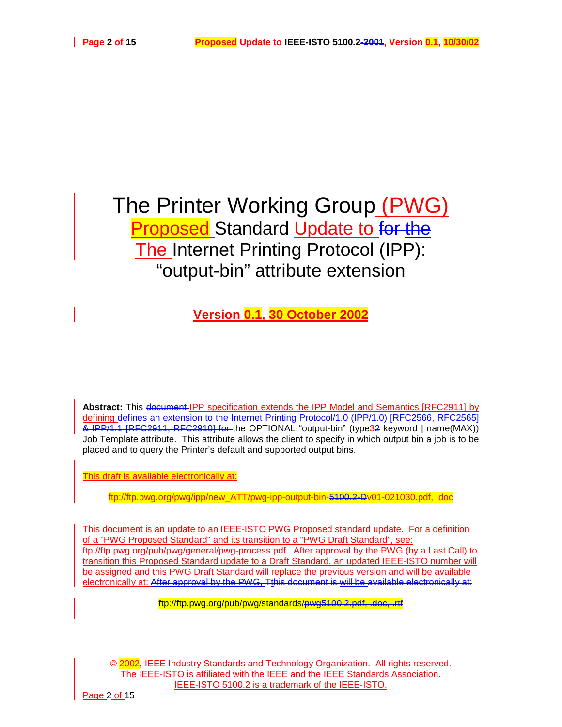# The Printer Working Group (PWG) **Proposed Standard Update to for the** The Internet Printing Protocol (IPP): "output-bin" attribute extension

**Version 0.1, 30 October 2002** 

**Abstract:** This document IPP specification extends the IPP Model and Semantics [RFC2911] by defining defines an extension to the Internet Printing Protocol/1.0 (IPP/1.0) [RFC2566, RFC2565] & IPP/1.1 [RFC2911, RFC2910] for the OPTIONAL "output-bin" (type<sup>32</sup> keyword | name(MAX)) Job Template attribute. This attribute allows the client to specify in which output bin a job is to be placed and to query the Printer's default and supported output bins.

This draft is available electronically at:

ftp://ftp.pwg.org/pwg/ipp/new\_ATT/pwg-ipp-output-bin-5100.2-Dv01-021030.pdf, .doc

This document is an update to an IEEE-ISTO PWG Proposed standard update. For a definition of a "PWG Proposed Standard" and its transition to a "PWG Draft Standard", see: [ftp://ftp.pwg.org/pub/pwg/general/pwg-process.pdf.](ftp://ftp.pwg.org/pub/pwg/general/pwg-process.pdf) After approval by the PWG (by a Last Call) to transition this Proposed Standard update to a Draft Standard, an updated IEEE-ISTO number will be assigned and this PWG Draft Standard will replace the previous version and will be available electronically at: After approval by the PWG, Tthis document is will be available electronically at:

ftp://ftp.pwg.org/pub/pwg/standards/pwg5100.2.pdf, .doc, .rtf

© 2002, IEEE Industry Standards and Technology Organization. All rights reserved. The IEEE-ISTO is affiliated with the IEEE and the IEEE Standards Association. IEEE-ISTO 5100.2 is a trademark of the IEEE-ISTO.

Page 2 of 15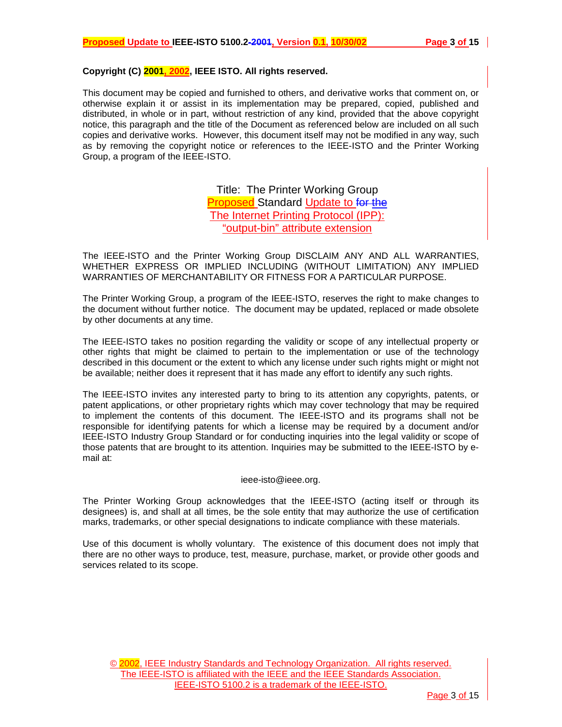### **Copyright (C) 2001, 2002, IEEE ISTO. All rights reserved.**

This document may be copied and furnished to others, and derivative works that comment on, or otherwise explain it or assist in its implementation may be prepared, copied, published and distributed, in whole or in part, without restriction of any kind, provided that the above copyright notice, this paragraph and the title of the Document as referenced below are included on all such copies and derivative works. However, this document itself may not be modified in any way, such as by removing the copyright notice or references to the IEEE-ISTO and the Printer Working Group, a program of the IEEE-ISTO.

> Title: The Printer Working Group **Proposed Standard Update to for the** The Internet Printing Protocol (IPP): "output-bin" attribute extension

The IEEE-ISTO and the Printer Working Group DISCLAIM ANY AND ALL WARRANTIES, WHETHER EXPRESS OR IMPLIED INCLUDING (WITHOUT LIMITATION) ANY IMPLIED WARRANTIES OF MERCHANTABILITY OR FITNESS FOR A PARTICULAR PURPOSE.

The Printer Working Group, a program of the IEEE-ISTO, reserves the right to make changes to the document without further notice. The document may be updated, replaced or made obsolete by other documents at any time.

The IEEE-ISTO takes no position regarding the validity or scope of any intellectual property or other rights that might be claimed to pertain to the implementation or use of the technology described in this document or the extent to which any license under such rights might or might not be available; neither does it represent that it has made any effort to identify any such rights.

The IEEE-ISTO invites any interested party to bring to its attention any copyrights, patents, or patent applications, or other proprietary rights which may cover technology that may be required to implement the contents of this document. The IEEE-ISTO and its programs shall not be responsible for identifying patents for which a license may be required by a document and/or IEEE-ISTO Industry Group Standard or for conducting inquiries into the legal validity or scope of those patents that are brought to its attention. Inquiries may be submitted to the IEEE-ISTO by email at:

#### ieee-isto@ieee.org.

The Printer Working Group acknowledges that the IEEE-ISTO (acting itself or through its designees) is, and shall at all times, be the sole entity that may authorize the use of certification marks, trademarks, or other special designations to indicate compliance with these materials.

Use of this document is wholly voluntary. The existence of this document does not imply that there are no other ways to produce, test, measure, purchase, market, or provide other goods and services related to its scope.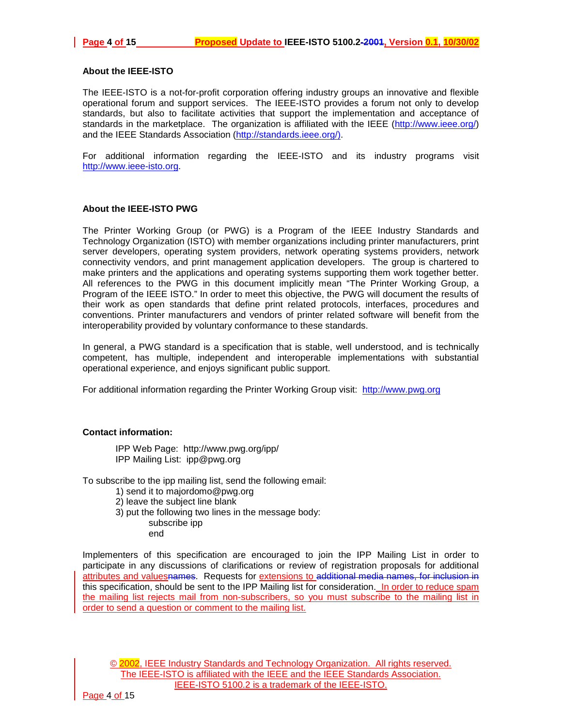#### **About the IEEE-ISTO**

The IEEE-ISTO is a not-for-profit corporation offering industry groups an innovative and flexible operational forum and support services. The IEEE-ISTO provides a forum not only to develop standards, but also to facilitate activities that support the implementation and acceptance of standards in the marketplace. The organization is affiliated with the IEEE [\(http://www.ieee.org/\)](http://www.ieee.org/) and the IEEE Standards Association [\(http://standards.ieee.org/\).](http://standards.ieee.org/))

For additional information regarding the IEEE-ISTO and its industry programs visit [http://www.ieee-isto.org.](http://www.ieee-isto.org/)

#### **About the IEEE-ISTO PWG**

The Printer Working Group (or PWG) is a Program of the IEEE Industry Standards and Technology Organization (ISTO) with member organizations including printer manufacturers, print server developers, operating system providers, network operating systems providers, network connectivity vendors, and print management application developers. The group is chartered to make printers and the applications and operating systems supporting them work together better. All references to the PWG in this document implicitly mean "The Printer Working Group, a Program of the IEEE ISTO." In order to meet this objective, the PWG will document the results of their work as open standards that define print related protocols, interfaces, procedures and conventions. Printer manufacturers and vendors of printer related software will benefit from the interoperability provided by voluntary conformance to these standards.

In general, a PWG standard is a specification that is stable, well understood, and is technically competent, has multiple, independent and interoperable implementations with substantial operational experience, and enjoys significant public support.

For additional information regarding the Printer Working Group visit: http://www.pwg.org

#### **Contact information:**

IPP Web Page: http://www.pwg.org/ipp/ IPP Mailing List: ipp@pwg.org

To subscribe to the ipp mailing list, send the following email:

- 1) send it to majordomo@pwg.org
- 2) leave the subject line blank
- 3) put the following two lines in the message body: subscribe ipp
	- end

Implementers of this specification are encouraged to join the IPP Mailing List in order to participate in any discussions of clarifications or review of registration proposals for additional attributes and valuesnames. Requests for extensions to additional media names, for inclusion in this specification, should be sent to the IPP Mailing list for consideration. In order to reduce spam the mailing list rejects mail from non-subscribers, so you must subscribe to the mailing list in order to send a question or comment to the mailing list.

© 2002, IEEE Industry Standards and Technology Organization. All rights reserved. The IEEE-ISTO is affiliated with the IEEE and the IEEE Standards Association. IEEE-ISTO 5100.2 is a trademark of the IEEE-ISTO.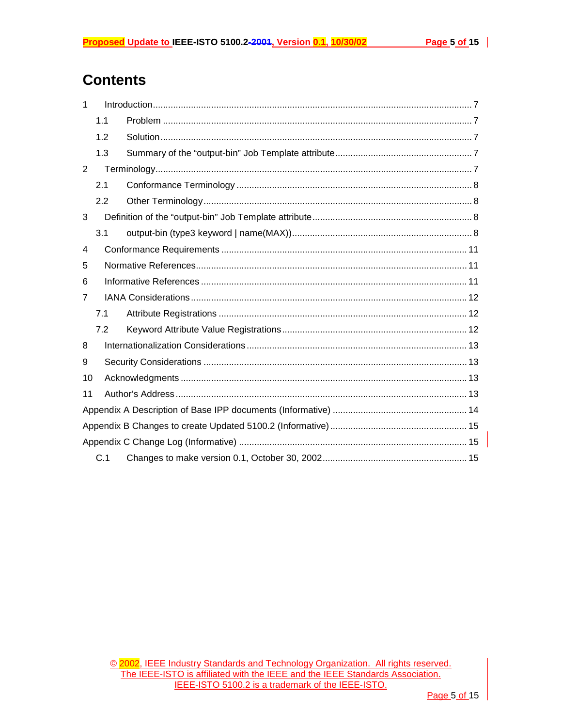# **Contents**

| 1              |     |  |  |  |
|----------------|-----|--|--|--|
|                | 1.1 |  |  |  |
|                | 1.2 |  |  |  |
|                | 1.3 |  |  |  |
| 2              |     |  |  |  |
|                | 2.1 |  |  |  |
|                | 2.2 |  |  |  |
| 3              |     |  |  |  |
|                | 3.1 |  |  |  |
| 4              |     |  |  |  |
| 5              |     |  |  |  |
| 6              |     |  |  |  |
| $\overline{7}$ |     |  |  |  |
|                | 7.1 |  |  |  |
|                | 7.2 |  |  |  |
| 8              |     |  |  |  |
| 9              |     |  |  |  |
| 10             |     |  |  |  |
| 11             |     |  |  |  |
|                |     |  |  |  |
|                |     |  |  |  |
|                |     |  |  |  |
|                | C.1 |  |  |  |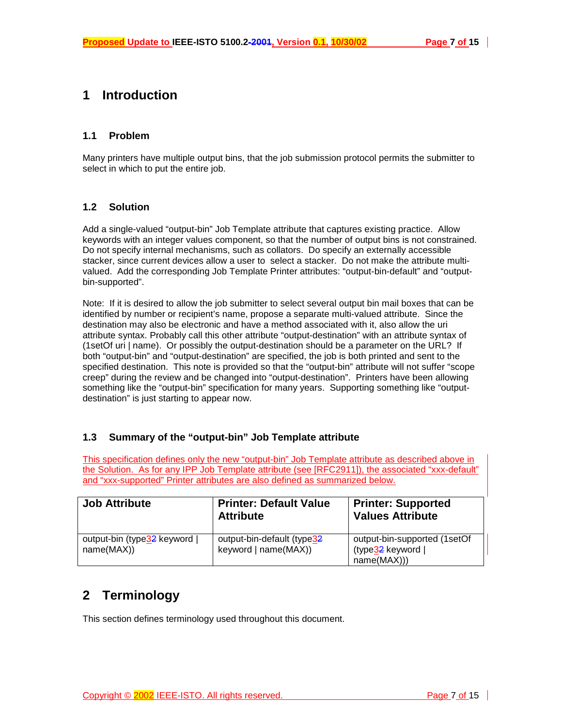## <span id="page-6-0"></span>**1 Introduction**

### **1.1 Problem**

Many printers have multiple output bins, that the job submission protocol permits the submitter to select in which to put the entire job.

### **1.2 Solution**

Add a single-valued "output-bin" Job Template attribute that captures existing practice. Allow keywords with an integer values component, so that the number of output bins is not constrained. Do not specify internal mechanisms, such as collators. Do specify an externally accessible stacker, since current devices allow a user to select a stacker. Do not make the attribute multivalued. Add the corresponding Job Template Printer attributes: "output-bin-default" and "outputbin-supported".

Note: If it is desired to allow the job submitter to select several output bin mail boxes that can be identified by number or recipient's name, propose a separate multi-valued attribute. Since the destination may also be electronic and have a method associated with it, also allow the uri attribute syntax. Probably call this other attribute "output-destination" with an attribute syntax of (1setOf uri | name). Or possibly the output-destination should be a parameter on the URL? If both "output-bin" and "output-destination" are specified, the job is both printed and sent to the specified destination. This note is provided so that the "output-bin" attribute will not suffer "scope creep" during the review and be changed into "output-destination". Printers have been allowing something like the "output-bin" specification for many years. Supporting something like "outputdestination" is just starting to appear now.

### **1.3 Summary of the "output-bin" Job Template attribute**

This specification defines only the new "output-bin" Job Template attribute as described above in the Solution. As for any IPP Job Template attribute (see [RFC2911]), the associated "xxx-default" and "xxx-supported" Printer attributes are also defined as summarized below.

| <b>Job Attribute</b>                       | <b>Printer: Default Value</b><br><b>Attribute</b>  | <b>Printer: Supported</b><br><b>Values Attribute</b>            |
|--------------------------------------------|----------------------------------------------------|-----------------------------------------------------------------|
| output-bin (type32 keyword  <br>name(MAX)) | output-bin-default (type32<br>keyword   name(MAX)) | output-bin-supported (1setOf<br>(type32 keyword  <br>name(MAX)) |

# **2 Terminology**

This section defines terminology used throughout this document.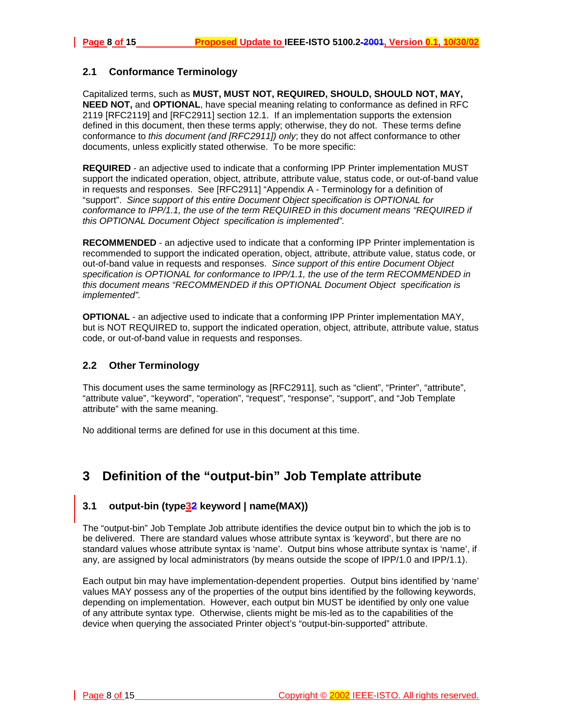### <span id="page-7-0"></span>**2.1 Conformance Terminology**

Capitalized terms, such as **MUST, MUST NOT, REQUIRED, SHOULD, SHOULD NOT, MAY, NEED NOT,** and **OPTIONAL**, have special meaning relating to conformance as defined in RFC 2119 [RFC2119] and [RFC2911] section 12.1. If an implementation supports the extension defined in this document, then these terms apply; otherwise, they do not. These terms define conformance to *this document (and [RFC2911]) only*; they do not affect conformance to other documents, unless explicitly stated otherwise. To be more specific:

**REQUIRED** - an adjective used to indicate that a conforming IPP Printer implementation MUST support the indicated operation, object, attribute, attribute value, status code, or out-of-band value in requests and responses. See [RFC2911] "Appendix A - Terminology for a definition of "support". *Since support of this entire Document Object specification is OPTIONAL for conformance to IPP/1.1, the use of the term REQUIRED in this document means "REQUIRED if this OPTIONAL Document Object specification is implemented".*

**RECOMMENDED** - an adjective used to indicate that a conforming IPP Printer implementation is recommended to support the indicated operation, object, attribute, attribute value, status code, or out-of-band value in requests and responses. *Since support of this entire Document Object specification is OPTIONAL for conformance to IPP/1.1, the use of the term RECOMMENDED in this document means "RECOMMENDED if this OPTIONAL Document Object specification is implemented".*

**OPTIONAL** - an adjective used to indicate that a conforming IPP Printer implementation MAY, but is NOT REQUIRED to, support the indicated operation, object, attribute, attribute value, status code, or out-of-band value in requests and responses.

### **2.2 Other Terminology**

This document uses the same terminology as [RFC2911], such as "client", "Printer", "attribute", "attribute value", "keyword", "operation", "request", "response", "support", and "Job Template attribute" with the same meaning.

No additional terms are defined for use in this document at this time.

# **3 Definition of the "output-bin" Job Template attribute**

### **3.1 output-bin (type32 keyword | name(MAX))**

The "output-bin" Job Template Job attribute identifies the device output bin to which the job is to be delivered. There are standard values whose attribute syntax is 'keyword', but there are no standard values whose attribute syntax is 'name'. Output bins whose attribute syntax is 'name', if any, are assigned by local administrators (by means outside the scope of IPP/1.0 and IPP/1.1).

Each output bin may have implementation-dependent properties. Output bins identified by 'name' values MAY possess any of the properties of the output bins identified by the following keywords, depending on implementation. However, each output bin MUST be identified by only one value of any attribute syntax type. Otherwise, clients might be mis-led as to the capabilities of the device when querying the associated Printer object's "output-bin-supported" attribute.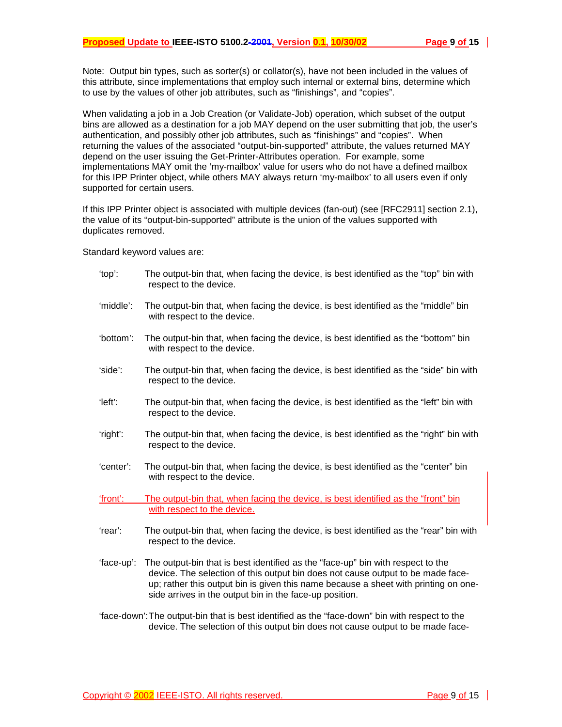Note: Output bin types, such as sorter(s) or collator(s), have not been included in the values of this attribute, since implementations that employ such internal or external bins, determine which to use by the values of other job attributes, such as "finishings", and "copies".

When validating a job in a Job Creation (or Validate-Job) operation, which subset of the output bins are allowed as a destination for a job MAY depend on the user submitting that job, the user's authentication, and possibly other job attributes, such as "finishings" and "copies". When returning the values of the associated "output-bin-supported" attribute, the values returned MAY depend on the user issuing the Get-Printer-Attributes operation. For example, some implementations MAY omit the 'my-mailbox' value for users who do not have a defined mailbox for this IPP Printer object, while others MAY always return 'my-mailbox' to all users even if only supported for certain users.

If this IPP Printer object is associated with multiple devices (fan-out) (see [RFC2911] section 2.1), the value of its "output-bin-supported" attribute is the union of the values supported with duplicates removed.

Standard keyword values are:

- 'top': The output-bin that, when facing the device, is best identified as the "top" bin with respect to the device.
- 'middle': The output-bin that, when facing the device, is best identified as the "middle" bin with respect to the device.
- 'bottom': The output-bin that, when facing the device, is best identified as the "bottom" bin with respect to the device.
- 'side': The output-bin that, when facing the device, is best identified as the "side" bin with respect to the device.
- 'left': The output-bin that, when facing the device, is best identified as the "left" bin with respect to the device.
- 'right': The output-bin that, when facing the device, is best identified as the "right" bin with respect to the device.
- 'center': The output-bin that, when facing the device, is best identified as the "center" bin with respect to the device.

'front': The output-bin that, when facing the device, is best identified as the "front" bin with respect to the device.

- 'rear': The output-bin that, when facing the device, is best identified as the "rear" bin with respect to the device.
- 'face-up': The output-bin that is best identified as the "face-up" bin with respect to the device. The selection of this output bin does not cause output to be made faceup; rather this output bin is given this name because a sheet with printing on oneside arrives in the output bin in the face-up position.
- 'face-down': The output-bin that is best identified as the "face-down" bin with respect to the device. The selection of this output bin does not cause output to be made face-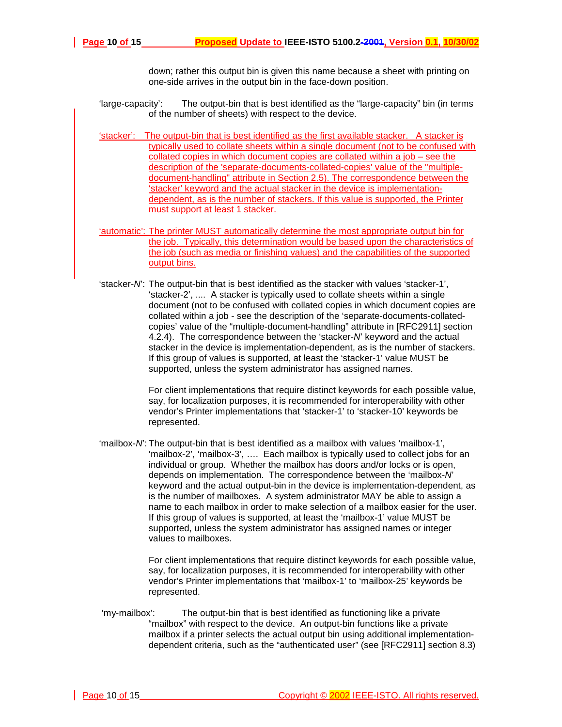down; rather this output bin is given this name because a sheet with printing on one-side arrives in the output bin in the face-down position.

- 'large-capacity': The output-bin that is best identified as the "large-capacity" bin (in terms of the number of sheets) with respect to the device.
- 'stacker': The output-bin that is best identified as the first available stacker. A stacker is typically used to collate sheets within a single document (not to be confused with collated copies in which document copies are collated within a job – see the description of the 'separate-documents-collated-copies' value of the "multipledocument-handling" attribute in Section 2.5). The correspondence between the 'stacker' keyword and the actual stacker in the device is implementationdependent, as is the number of stackers. If this value is supported, the Printer must support at least 1 stacker.
- 'automatic': The printer MUST automatically determine the most appropriate output bin for the job. Typically, this determination would be based upon the characteristics of the job (such as media or finishing values) and the capabilities of the supported output bins.
- 'stacker-*N*': The output-bin that is best identified as the stacker with values 'stacker-1', 'stacker-2', .... A stacker is typically used to collate sheets within a single document (not to be confused with collated copies in which document copies are collated within a job - see the description of the 'separate-documents-collatedcopies' value of the "multiple-document-handling" attribute in [RFC2911] section 4.2.4). The correspondence between the 'stacker-*N*' keyword and the actual stacker in the device is implementation-dependent, as is the number of stackers. If this group of values is supported, at least the 'stacker-1' value MUST be supported, unless the system administrator has assigned names.

For client implementations that require distinct keywords for each possible value, say, for localization purposes, it is recommended for interoperability with other vendor's Printer implementations that 'stacker-1' to 'stacker-10' keywords be represented.

'mailbox-*N*': The output-bin that is best identified as a mailbox with values 'mailbox-1', 'mailbox-2', 'mailbox-3', …. Each mailbox is typically used to collect jobs for an individual or group. Whether the mailbox has doors and/or locks or is open, depends on implementation. The correspondence between the 'mailbox-*N*' keyword and the actual output-bin in the device is implementation-dependent, as is the number of mailboxes. A system administrator MAY be able to assign a name to each mailbox in order to make selection of a mailbox easier for the user. If this group of values is supported, at least the 'mailbox-1' value MUST be supported, unless the system administrator has assigned names or integer values to mailboxes.

> For client implementations that require distinct keywords for each possible value, say, for localization purposes, it is recommended for interoperability with other vendor's Printer implementations that 'mailbox-1' to 'mailbox-25' keywords be represented.

 'my-mailbox': The output-bin that is best identified as functioning like a private "mailbox" with respect to the device. An output-bin functions like a private mailbox if a printer selects the actual output bin using additional implementationdependent criteria, such as the "authenticated user" (see [RFC2911] section 8.3)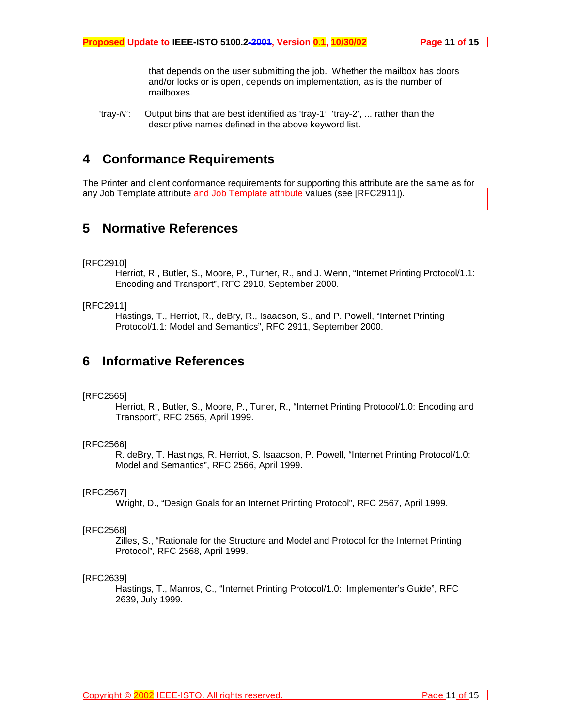that depends on the user submitting the job. Whether the mailbox has doors and/or locks or is open, depends on implementation, as is the number of mailboxes.

<span id="page-10-0"></span>'tray-*N*': Output bins that are best identified as 'tray-1', 'tray-2', ... rather than the descriptive names defined in the above keyword list.

### **4 Conformance Requirements**

The Printer and client conformance requirements for supporting this attribute are the same as for any Job Template attribute and Job Template attribute values (see [RFC2911]).

### **5 Normative References**

#### [RFC2910]

 Herriot, R., Butler, S., Moore, P., Turner, R., and J. Wenn, "Internet Printing Protocol/1.1: Encoding and Transport", RFC 2910, September 2000.

#### [RFC2911]

 Hastings, T., Herriot, R., deBry, R., Isaacson, S., and P. Powell, "Internet Printing Protocol/1.1: Model and Semantics", RFC 2911, September 2000.

### **6 Informative References**

#### [RFC2565]

 Herriot, R., Butler, S., Moore, P., Tuner, R., "Internet Printing Protocol/1.0: Encoding and Transport", RFC 2565, April 1999.

#### [RFC2566]

 R. deBry, T. Hastings, R. Herriot, S. Isaacson, P. Powell, "Internet Printing Protocol/1.0: Model and Semantics", RFC 2566, April 1999.

#### [RFC2567]

Wright, D., "Design Goals for an Internet Printing Protocol", RFC 2567, April 1999.

#### [RFC2568]

 Zilles, S., "Rationale for the Structure and Model and Protocol for the Internet Printing Protocol", RFC 2568, April 1999.

#### [RFC2639]

 Hastings, T., Manros, C., "Internet Printing Protocol/1.0: Implementer's Guide", RFC 2639, July 1999.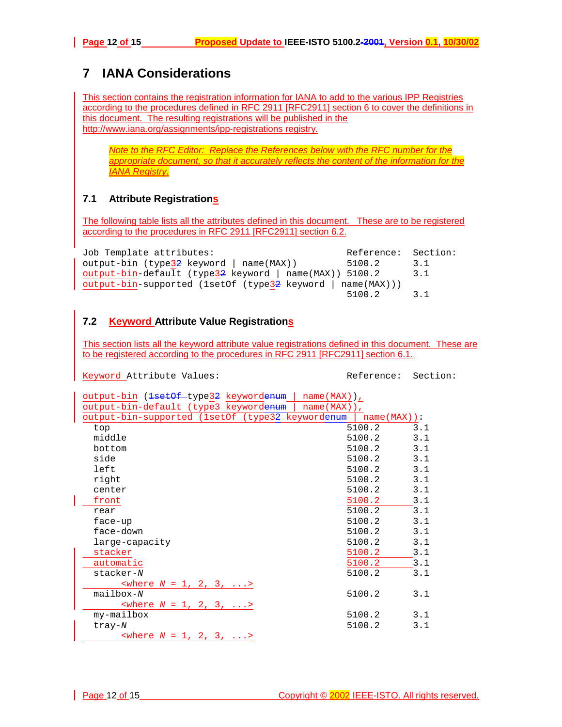# <span id="page-11-0"></span>**7 IANA Considerations**

This section contains the registration information for IANA to add to the various IPP Registries according to the procedures defined in RFC 2911 [RFC2911] section 6 to cover the definitions in this document. The resulting registrations will be published in the http://www.iana.org/assignments/ipp-registrations registry.

*Note to the RFC Editor: Replace the References below with the RFC number for the appropriate document, so that it accurately reflects the content of the information for the IANA Registry.*

### **7.1 Attribute Registrations**

The following table lists all the attributes defined in this document. These are to be registered according to the procedures in RFC 2911 [RFC2911] section 6.2.

| Job Template attributes:                                   | Reference: Section: |     |
|------------------------------------------------------------|---------------------|-----|
| output-bin (type32 keyword   name(MAX))                    | 5100.2              | 3.1 |
| output-bin-default (type32 keyword   name(MAX)) 5100.2     |                     | 3.1 |
| output-bin-supported (1setOf (type32 keyword   name(MAX))) |                     |     |
|                                                            | 5100.2              | 3.1 |

### **7.2 Keyword Attribute Value Registrations**

This section lists all the keyword attribute value registrations defined in this document. These are to be registered according to the procedures in RFC 2911 [RFC2911] section 6.1.

Keyword Attribute Values: The Contemporary Reference: Section:

| output-bin ( <del>lsetOf type32</del> keyword <del>enum</del> | $name(MAX)$ , |     |
|---------------------------------------------------------------|---------------|-----|
| output-bin-default (type3 keywordenum                         | $name(MAX)$ , |     |
| output-bin-supported (1setOf (type3 <del>2</del> keywordenum  | $name(MAX)$ : |     |
| top                                                           | 5100.2        | 3.1 |
| middle                                                        | 5100.2        | 3.1 |
| bottom                                                        | 5100.2        | 3.1 |
| side                                                          | 5100.2        | 3.1 |
| left                                                          | 5100.2        | 3.1 |
| right                                                         | 5100.2        | 3.1 |
| center                                                        | 5100.2        | 3.1 |
| front                                                         | 5100.2        | 3.1 |
| rear                                                          | 5100.2        | 3.1 |
| face-up                                                       | 5100.2        | 3.1 |
| face-down                                                     | 5100.2        | 3.1 |
| large-capacity                                                | 5100.2        | 3.1 |
| stacker                                                       | 5100.2        | 3.1 |
| automatic                                                     | 5100.2        | 3.1 |
| $stacker-N$                                                   | 5100.2        | 3.1 |
| $\text{where } N = 1, 2, 3, $                                 |               |     |
| $mailbox-N$                                                   | 5100.2        | 3.1 |
| $\text{where } N = 1, 2, 3, $                                 |               |     |
| my-mailbox                                                    | 5100.2        | 3.1 |
| $tray-N$                                                      | 5100.2        | 3.1 |
| $\text{where } N = 1, 2, 3, $                                 |               |     |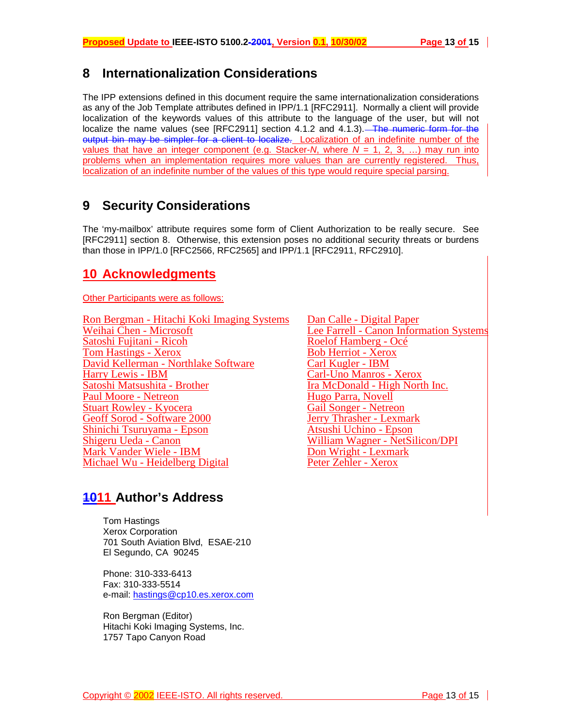### <span id="page-12-0"></span>**8 Internationalization Considerations**

The IPP extensions defined in this document require the same internationalization considerations as any of the Job Template attributes defined in IPP/1.1 [RFC2911]. Normally a client will provide localization of the keywords values of this attribute to the language of the user, but will not localize the name values (see [RFC2911] section 4.1.2 and 4.1.3). The numeric form for the output bin may be simpler for a client to localize. Localization of an indefinite number of the values that have an integer component (e.g. Stacker-*N*, where  $N = 1, 2, 3, ...$ ) may run into problems when an implementation requires more values than are currently registered. Thus, localization of an indefinite number of the values of this type would require special parsing.

## **9 Security Considerations**

The 'my-mailbox' attribute requires some form of Client Authorization to be really secure. See [RFC2911] section 8. Otherwise, this extension poses no additional security threats or burdens than those in IPP/1.0 [RFC2566, RFC2565] and IPP/1.1 [RFC2911, RFC2910].

### **10 Acknowledgments**

Other Participants were as follows:

Ron Bergman - Hitachi Koki Imaging Systems<br>
Weihai Chen - Microsoft<br>
Lee Farrell - Canon Inforr Satoshi Fujitani - Ricoh **Roelof Hamberg - Océ Fom Hastings - Xerox**<br> **Example 18 David Kellerman - Northlake Software**<br> **Example 18 Carl Kugler - IBM** David Kellerman - Northlake Software<br>Harry Lewis - IBM Satoshi Matsushita - Brother Ira McDonald - High North Inc.<br>
Paul Moore - Netreon Ira McDonald - High North Inc. Paul Moore - Netreon Stuart Rowley - Kyocera<br>
Gail Songer - Netreon<br>
Geoff Sorod - Software 2000<br>
Gail Songer - Netreon<br>
Jerry Thrasher - Lexmark Geoff Sorod - Software 2000<br>
Shinichi Tsuruyama - Epson<br>
Atsushi Uchino - Epson Shinichi Tsuruyama - Epson<br>Shigeru Ueda - Canon Mark Vander Wiele - IBM Don Wright - Lexmark Michael Wu - Heidelberg Digital Peter Zehler - Xerox

Lee Farrell - Canon Information Systems Carl-Uno Manros - Xerox William Wagner - NetSilicon/DPI

### **1011 Author's Address**

Tom Hastings Xerox Corporation 701 South Aviation Blvd, ESAE-210 El Segundo, CA 90245

Phone: 310-333-6413 Fax: 310-333-5514 e-mail: [hastings@cp10.es.xerox.com](mailto:hastings@cp10.es.xerox.com)

Ron Bergman (Editor) Hitachi Koki Imaging Systems, Inc. 1757 Tapo Canyon Road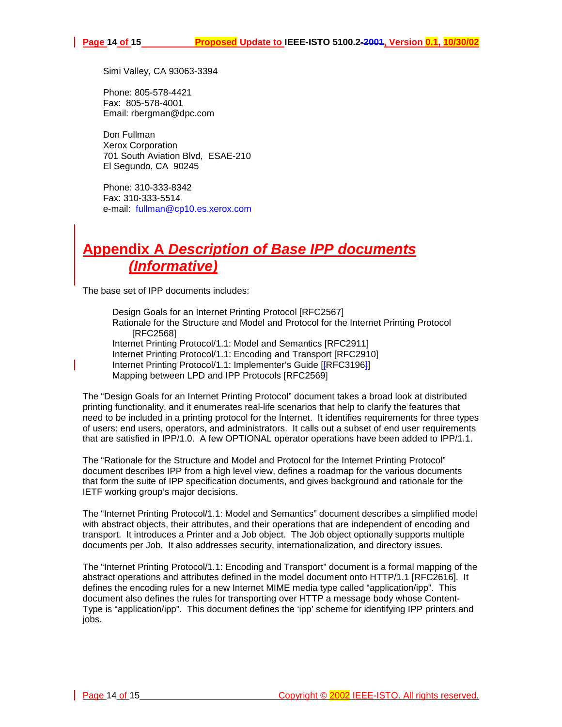<span id="page-13-0"></span>

Simi Valley, CA 93063-3394

Phone: 805-578-4421 Fax: 805-578-4001 Email: rbergman@dpc.com

Don Fullman Xerox Corporation 701 South Aviation Blvd, ESAE-210 El Segundo, CA 90245

Phone: 310-333-8342 Fax: 310-333-5514 e-mail: [fullman@cp10.es.xerox.com](mailto:fullman@cp10.es.xerox.com) 

# **Appendix A** *Description of Base IPP documents (Informative)*

The base set of IPP documents includes:

Design Goals for an Internet Printing Protocol [RFC2567] Rationale for the Structure and Model and Protocol for the Internet Printing Protocol [RFC2568] Internet Printing Protocol/1.1: Model and Semantics [RFC2911]

Internet Printing Protocol/1.1: Encoding and Transport [RFC2910]

Internet Printing Protocol/1.1: Implementer's Guide [[RFC3196]]

Mapping between LPD and IPP Protocols [RFC2569]

The "Design Goals for an Internet Printing Protocol" document takes a broad look at distributed printing functionality, and it enumerates real-life scenarios that help to clarify the features that need to be included in a printing protocol for the Internet. It identifies requirements for three types of users: end users, operators, and administrators. It calls out a subset of end user requirements that are satisfied in IPP/1.0. A few OPTIONAL operator operations have been added to IPP/1.1.

The "Rationale for the Structure and Model and Protocol for the Internet Printing Protocol" document describes IPP from a high level view, defines a roadmap for the various documents that form the suite of IPP specification documents, and gives background and rationale for the IETF working group's major decisions.

The "Internet Printing Protocol/1.1: Model and Semantics" document describes a simplified model with abstract objects, their attributes, and their operations that are independent of encoding and transport. It introduces a Printer and a Job object. The Job object optionally supports multiple documents per Job. It also addresses security, internationalization, and directory issues.

The "Internet Printing Protocol/1.1: Encoding and Transport" document is a formal mapping of the abstract operations and attributes defined in the model document onto HTTP/1.1 [RFC2616]. It defines the encoding rules for a new Internet MIME media type called "application/ipp". This document also defines the rules for transporting over HTTP a message body whose Content-Type is "application/ipp". This document defines the 'ipp' scheme for identifying IPP printers and jobs.